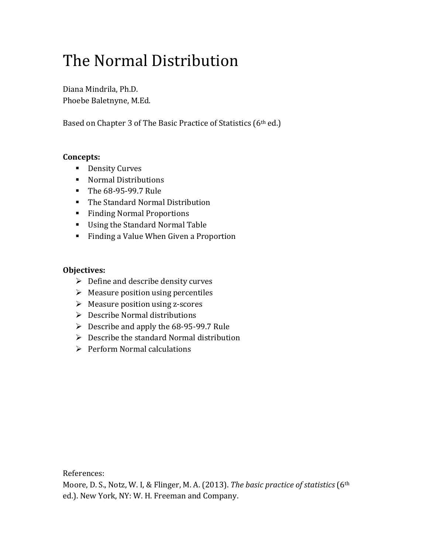# The Normal Distribution

Diana Mindrila, Ph.D. Phoebe Baletnyne, M.Ed.

Based on Chapter 3 of The Basic Practice of Statistics (6<sup>th</sup> ed.)

#### **Concepts:**

- **•** Density Curves
- Normal Distributions
- The 68-95-99.7 Rule
- The Standard Normal Distribution
- Finding Normal Proportions
- Using the Standard Normal Table
- **Finding a Value When Given a Proportion**

#### **Objectives:**

- $\triangleright$  Define and describe density curves
- $\triangleright$  Measure position using percentiles
- $\triangleright$  Measure position using z-scores
- $\triangleright$  Describe Normal distributions
- $\triangleright$  Describe and apply the 68-95-99.7 Rule
- $\triangleright$  Describe the standard Normal distribution
- $\triangleright$  Perform Normal calculations

References:

Moore, D. S., Notz, W. I, & Flinger, M. A. (2013). *The basic practice of statistics* (6th ed.). New York, NY: W. H. Freeman and Company.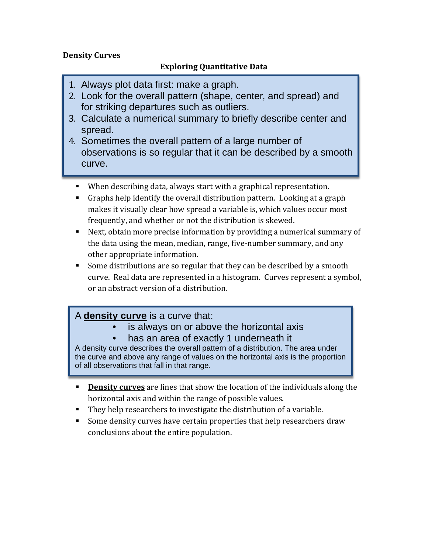#### **Density Curves**

### **Exploring Quantitative Data**

- 1. Always plot data first: make a graph.
- 2. Look for the overall pattern (shape, center, and spread) and for striking departures such as outliers.
- 3. Calculate a numerical summary to briefly describe center and spread.
- 4. Sometimes the overall pattern of a large number of observations is so regular that it can be described by a smooth curve.
	- When describing data, always start with a graphical representation.
	- Graphs help identify the overall distribution pattern. Looking at a graph makes it visually clear how spread a variable is, which values occur most frequently, and whether or not the distribution is skewed.
	- Next, obtain more precise information by providing a numerical summary of the data using the mean, median, range, five-number summary, and any other appropriate information.
	- Some distributions are so regular that they can be described by a smooth curve. Real data are represented in a histogram. Curves represent a symbol, or an abstract version of a distribution.

## A **density curve** is a curve that:

- is always on or above the horizontal axis
- has an area of exactly 1 underneath it

A density curve describes the overall pattern of a distribution. The area under the curve and above any range of values on the horizontal axis is the proportion of all observations that fall in that range.

- **Density curves** are lines that show the location of the individuals along the horizontal axis and within the range of possible values.
- They help researchers to investigate the distribution of a variable.
- Some density curves have certain properties that help researchers draw conclusions about the entire population.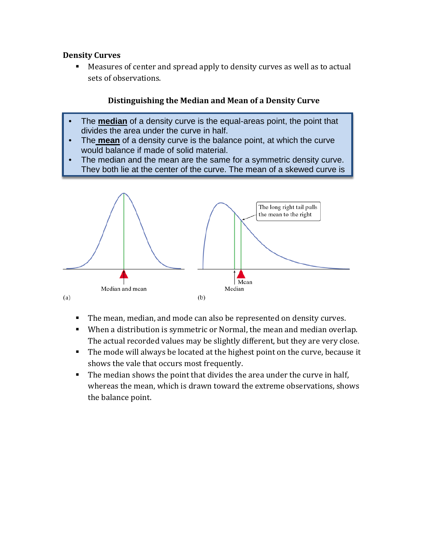#### **Density Curves**

i

 Measures of center and spread apply to density curves as well as to actual sets of observations.

#### **Distinguishing the Median and Mean of a Density Curve**

- The **median** of a density curve is the equal-areas point, the point that divides the area under the curve in half.
- The **mean** of a density curve is the balance point, at which the curve would balance if made of solid material.
- The median and the mean are the same for a symmetric density curve. They both lie at the center of the curve. The mean of a skewed curve is



- The mean, median, and mode can also be represented on density curves.
- When a distribution is symmetric or Normal, the mean and median overlap. The actual recorded values may be slightly different, but they are very close.
- The mode will always be located at the highest point on the curve, because it shows the vale that occurs most frequently.
- The median shows the point that divides the area under the curve in half, whereas the mean, which is drawn toward the extreme observations, shows the balance point.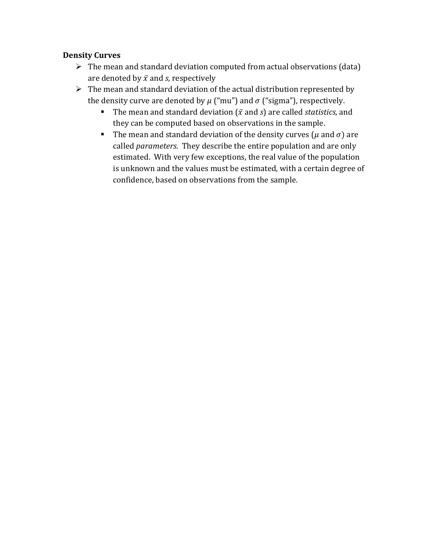#### **Density Curves**

- $\triangleright$  The mean and standard deviation computed from actual observations (data) are denoted by  $\bar{x}$  and *s*, respectively
- $\triangleright$  The mean and standard deviation of the actual distribution represented by the density curve are denoted by  $\mu$  ("mu") and  $\sigma$  ("sigma"), respectively.
	- The mean and standard deviation ( $\bar{x}$  and  $s$ ) are called *statistics*, and they can be computed based on observations in the sample.
	- The mean and standard deviation of the density curves ( $\mu$  and  $\sigma$ ) are called *parameters*. They describe the entire population and are only estimated. With very few exceptions, the real value of the population is unknown and the values must be estimated, with a certain degree of confidence, based on observations from the sample.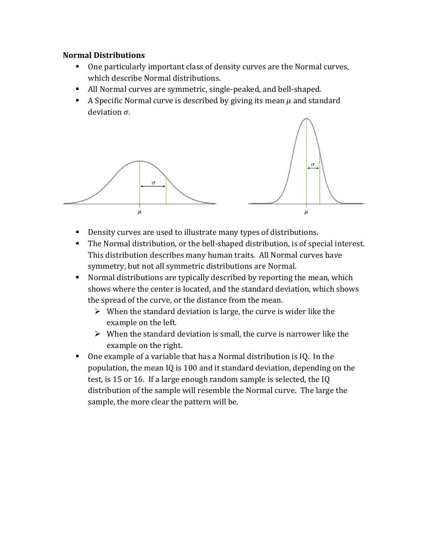#### **Normal Distributions**

- One particularly important class of density curves are the Normal curves, which describe Normal distributions.
- All Normal curves are symmetric, single-peaked, and bell-shaped.
- A Specific Normal curve is described by giving its mean  $\mu$  and standard deviation  $\sigma$ .



- Density curves are used to illustrate many types of distributions.
- The Normal distribution, or the bell-shaped distribution, is of special interest. This distribution describes many human traits. All Normal curves have symmetry, but not all symmetric distributions are Normal.
- Normal distributions are typically described by reporting the mean, which shows where the center is located, and the standard deviation, which shows the spread of the curve, or the distance from the mean.
	- $\triangleright$  When the standard deviation is large, the curve is wider like the example on the left.
	- $\triangleright$  When the standard deviation is small, the curve is narrower like the example on the right.
- One example of a variable that has a Normal distribution is IQ. In the population, the mean IQ is 100 and it standard deviation, depending on the test, is 15 or 16. If a large enough random sample is selected, the IQ distribution of the sample will resemble the Normal curve. The large the sample, the more clear the pattern will be.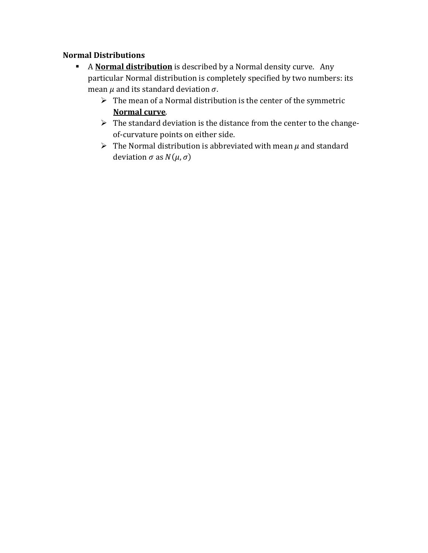#### **Normal Distributions**

- A **Normal distribution** is described by a Normal density curve. Any particular Normal distribution is completely specified by two numbers: its mean  $\mu$  and its standard deviation  $\sigma$ .
	- $\triangleright$  The mean of a Normal distribution is the center of the symmetric **Normal curve**.
	- $\triangleright$  The standard deviation is the distance from the center to the changeof-curvature points on either side.
	- $\triangleright$  The Normal distribution is abbreviated with mean  $\mu$  and standard deviation  $\sigma$  as  $N(\mu, \sigma)$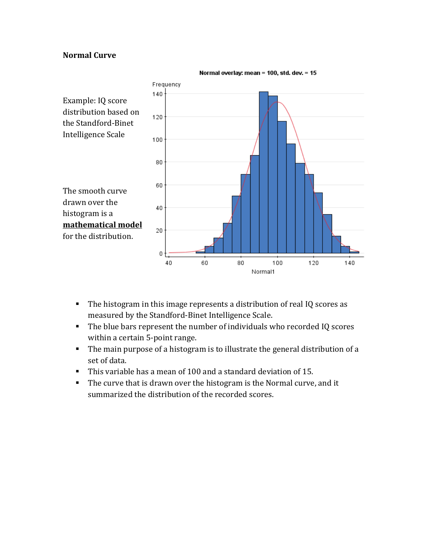#### **Normal Curve**



- The histogram in this image represents a distribution of real IQ scores as measured by the Standford-Binet Intelligence Scale.
- The blue bars represent the number of individuals who recorded IQ scores within a certain 5-point range.
- The main purpose of a histogram is to illustrate the general distribution of a set of data.
- This variable has a mean of 100 and a standard deviation of 15.
- The curve that is drawn over the histogram is the Normal curve, and it summarized the distribution of the recorded scores.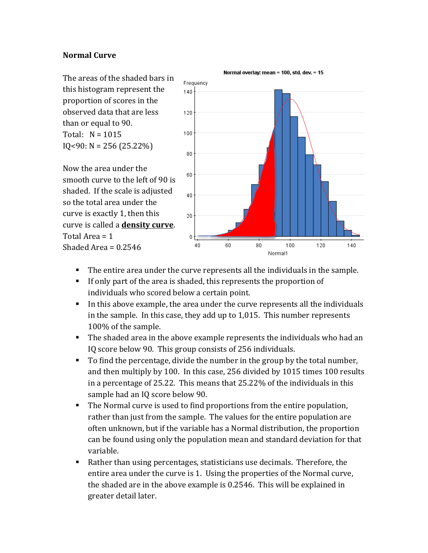#### **Normal Curve**

The areas of the shaded bars in this histogram represent the proportion of scores in the observed data that are less than or equal to 90. Total:  $N = 1015$  $IQ < 90$ :  $N = 256 (25.22%)$ 

Now the area under the smooth curve to the left of 90 is shaded. If the scale is adjusted so the total area under the curve is exactly 1, then this curve is called a **density curve**. Total Area = 1 Shaded Area  $= 0.2546$ 



- The entire area under the curve represents all the individuals in the sample.
- If only part of the area is shaded, this represents the proportion of individuals who scored below a certain point.
- In this above example, the area under the curve represents all the individuals in the sample. In this case, they add up to 1,015. This number represents 100% of the sample.
- The shaded area in the above example represents the individuals who had an IQ score below 90. This group consists of 256 individuals.
- To find the percentage, divide the number in the group by the total number, and then multiply by 100. In this case, 256 divided by 1015 times 100 results in a percentage of 25.22. This means that 25.22% of the individuals in this sample had an IQ score below 90.
- The Normal curve is used to find proportions from the entire population, rather than just from the sample. The values for the entire population are often unknown, but if the variable has a Normal distribution, the proportion can be found using only the population mean and standard deviation for that variable.
- Rather than using percentages, statisticians use decimals. Therefore, the entire area under the curve is 1. Using the properties of the Normal curve, the shaded are in the above example is 0.2546. This will be explained in greater detail later.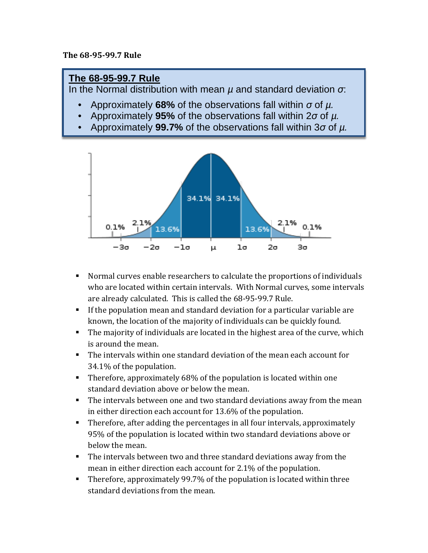#### **The 68-95-99.7 Rule**

## **The 68-95-99.7 Rule**

In the Normal distribution with mean *µ* and standard deviation *σ*:

- Approximately **68%** of the observations fall within *σ* of *µ.*
- Approximately **95%** of the observations fall within 2*σ* of *µ.*
- Approximately **99.7%** of the observations fall within 3*σ* of *µ.*



- Normal curves enable researchers to calculate the proportions of individuals who are located within certain intervals. With Normal curves, some intervals are already calculated. This is called the 68-95-99.7 Rule.
- If the population mean and standard deviation for a particular variable are known, the location of the majority of individuals can be quickly found.
- The majority of individuals are located in the highest area of the curve, which is around the mean.
- The intervals within one standard deviation of the mean each account for 34.1% of the population.
- Therefore, approximately 68% of the population is located within one standard deviation above or below the mean.
- The intervals between one and two standard deviations away from the mean in either direction each account for 13.6% of the population.
- Therefore, after adding the percentages in all four intervals, approximately 95% of the population is located within two standard deviations above or below the mean.
- The intervals between two and three standard deviations away from the mean in either direction each account for 2.1% of the population.
- **Therefore, approximately 99.7% of the population is located within three** standard deviations from the mean.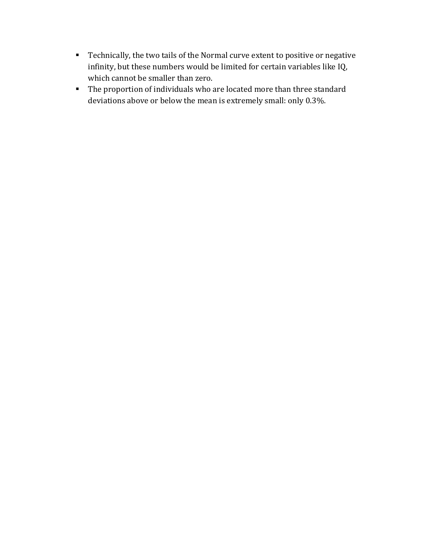- Technically, the two tails of the Normal curve extent to positive or negative infinity, but these numbers would be limited for certain variables like IQ, which cannot be smaller than zero.
- The proportion of individuals who are located more than three standard deviations above or below the mean is extremely small: only 0.3%.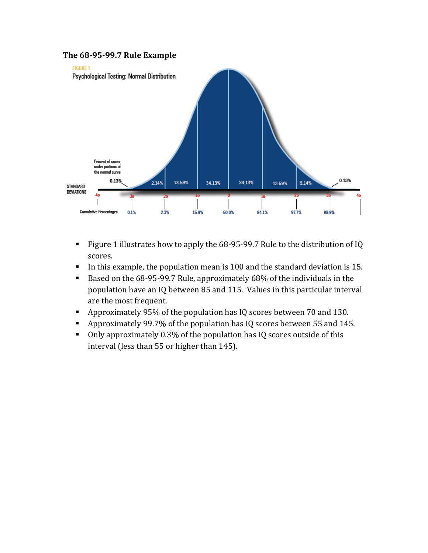

- Figure 1 illustrates how to apply the 68-95-99.7 Rule to the distribution of IQ scores.
- In this example, the population mean is 100 and the standard deviation is 15.
- Based on the 68-95-99.7 Rule, approximately 68% of the individuals in the population have an IQ between 85 and 115. Values in this particular interval are the most frequent.
- Approximately 95% of the population has IQ scores between 70 and 130.
- Approximately 99.7% of the population has IQ scores between 55 and 145.
- Only approximately 0.3% of the population has IQ scores outside of this interval (less than 55 or higher than 145).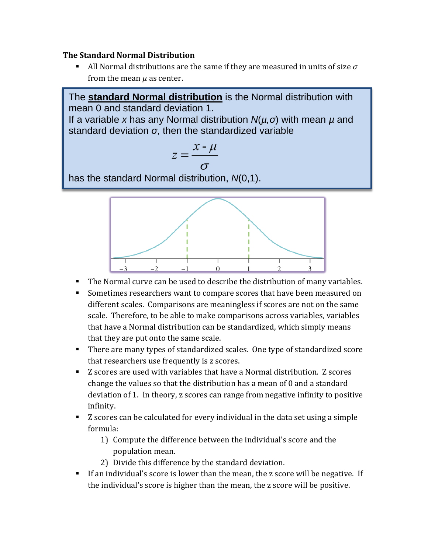#### **The Standard Normal Distribution**

If All Normal distributions are the same if they are measured in units of size  $\sigma$ from the mean  $\mu$  as center.

The **standard Normal distribution** is the Normal distribution with mean 0 and standard deviation 1.

If a variable *x* has any Normal distribution *N*(*µ,σ*) with mean *µ* and standard deviation *σ*, then the standardized variable

$$
z = \frac{x - \mu}{\sigma}
$$

has the standard Normal distribution, *N*(0,1).



- The Normal curve can be used to describe the distribution of many variables.
- Sometimes researchers want to compare scores that have been measured on different scales. Comparisons are meaningless if scores are not on the same scale. Therefore, to be able to make comparisons across variables, variables that have a Normal distribution can be standardized, which simply means that they are put onto the same scale.
- There are many types of standardized scales. One type of standardized score that researchers use frequently is z scores.
- Z scores are used with variables that have a Normal distribution. Z scores change the values so that the distribution has a mean of 0 and a standard deviation of 1. In theory, z scores can range from negative infinity to positive infinity.
- Z scores can be calculated for every individual in the data set using a simple formula:
	- 1) Compute the difference between the individual's score and the population mean.
	- 2) Divide this difference by the standard deviation.
- If an individual's score is lower than the mean, the z score will be negative. If the individual's score is higher than the mean, the z score will be positive.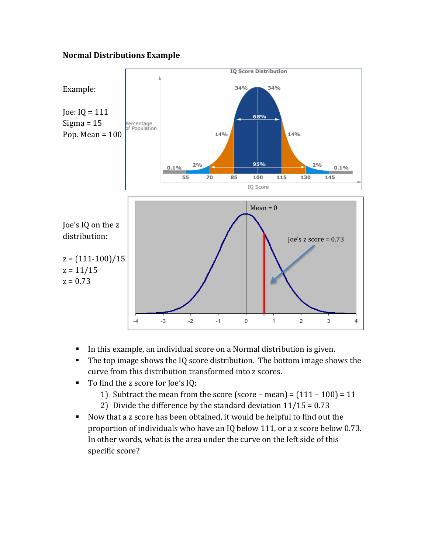#### **Normal Distributions Example**



- In this example, an individual score on a Normal distribution is given.
- The top image shows the IQ score distribution. The bottom image shows the curve from this distribution transformed into z scores.
- To find the z score for Joe's IQ:
	- 1) Subtract the mean from the score (score mean) =  $(111 100) = 11$
	- 2) Divide the difference by the standard deviation  $11/15 = 0.73$
- Now that a z score has been obtained, it would be helpful to find out the proportion of individuals who have an IQ below 111, or a z score below 0.73. In other words, what is the area under the curve on the left side of this specific score?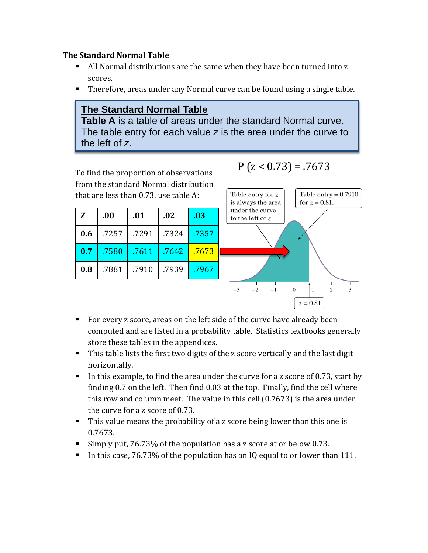#### **The Standard Normal Table**

- All Normal distributions are the same when they have been turned into z scores.
- Therefore, areas under any Normal curve can be found using a single table.

## **The Standard Normal Table**

**Table A** is a table of areas under the standard Normal curve. The table entry for each value *z* is the area under the curve to the left of *z*.

To find the proportion of observations from the standard Normal distribution that are less than 0.73, use table A:

| Z   | .00   | .01   | .02   | .03   |
|-----|-------|-------|-------|-------|
| 0.6 | .7257 | .7291 | .7324 | .7357 |
| 0.7 | .7580 | .7611 | .7642 | .7673 |
| 0.8 | .7881 | .7910 | .7939 | .7967 |

 $P$  (z < 0.73) = .7673



- For every z score, areas on the left side of the curve have already been computed and are listed in a probability table. Statistics textbooks generally store these tables in the appendices.
- This table lists the first two digits of the z score vertically and the last digit horizontally.
- In this example, to find the area under the curve for a z score of  $0.73$ , start by finding 0.7 on the left. Then find 0.03 at the top. Finally, find the cell where this row and column meet. The value in this cell (0.7673) is the area under the curve for a z score of 0.73.
- This value means the probability of a z score being lower than this one is 0.7673.
- Simply put, 76.73% of the population has a z score at or below 0.73.
- In this case, 76.73% of the population has an IQ equal to or lower than 111.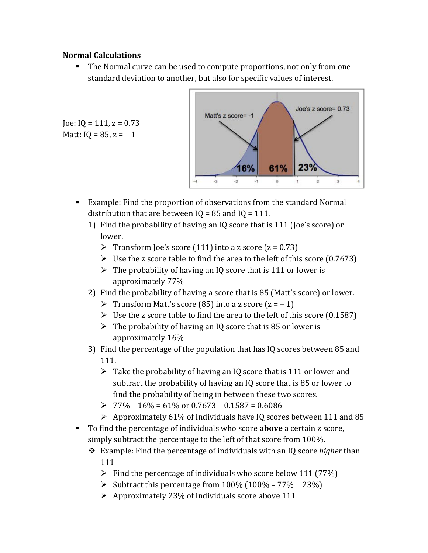#### **Normal Calculations**

Joe:  $IQ = 111$ ,  $z = 0.73$ Matt:  $IQ = 85, z = -1$ 

 The Normal curve can be used to compute proportions, not only from one standard deviation to another, but also for specific values of interest.



- Example: Find the proportion of observations from the standard Normal distribution that are between  $IQ = 85$  and  $IQ = 111$ .
	- 1) Find the probability of having an IQ score that is 111 (Joe's score) or lower.
		- Transform Joe's score (111) into a z score ( $z = 0.73$ )
		- $\triangleright$  Use the z score table to find the area to the left of this score (0.7673)
		- $\triangleright$  The probability of having an IQ score that is 111 or lower is approximately 77%
	- 2) Find the probability of having a score that is 85 (Matt's score) or lower.
		- Transform Matt's score (85) into a z score  $(z = -1)$
		- $\triangleright$  Use the z score table to find the area to the left of this score (0.1587)
		- $\triangleright$  The probability of having an IQ score that is 85 or lower is approximately 16%
	- 3) Find the percentage of the population that has IQ scores between 85 and 111.
		- $\triangleright$  Take the probability of having an IQ score that is 111 or lower and subtract the probability of having an IQ score that is 85 or lower to find the probability of being in between these two scores.
		- $\geq 77\% 16\% = 61\% \text{ or } 0.7673 0.1587 = 0.6086$
		- $\triangleright$  Approximately 61% of individuals have IQ scores between 111 and 85
- To find the percentage of individuals who score **above** a certain z score, simply subtract the percentage to the left of that score from 100%.
	- Example: Find the percentage of individuals with an IQ score *higher* than 111
		- $\triangleright$  Find the percentage of individuals who score below 111 (77%)
		- Subtract this percentage from  $100\%$  ( $100\%$   $77\%$  =  $23\%$ )
		- $\triangleright$  Approximately 23% of individuals score above 111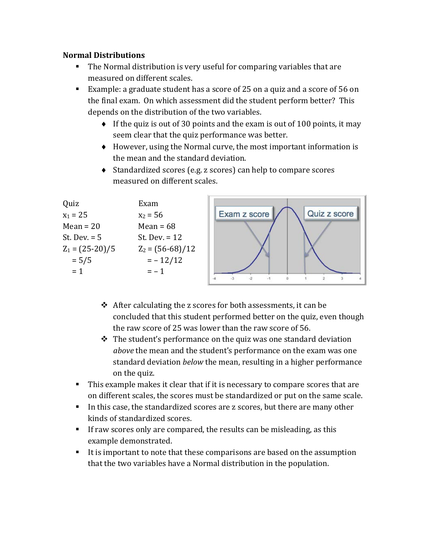#### **Normal Distributions**

- The Normal distribution is very useful for comparing variables that are measured on different scales.
- Example: a graduate student has a score of 25 on a quiz and a score of 56 on the final exam. On which assessment did the student perform better? This depends on the distribution of the two variables.
	- $\bullet$  If the quiz is out of 30 points and the exam is out of 100 points, it may seem clear that the quiz performance was better.
	- ♦ However, using the Normal curve, the most important information is the mean and the standard deviation.
	- ♦ Standardized scores (e.g. z scores) can help to compare scores measured on different scales.

| Quiz<br>$x_1 = 25$<br>$Mean = 20$   | Exam<br>$x_2 = 56$<br>Mean = $68$     | Quiz z score<br>Exam z score |
|-------------------------------------|---------------------------------------|------------------------------|
| St. Dev. $= 5$<br>$Z_1 = (25-20)/5$ | St. Dev. $= 12$<br>$Z_2 = (56-68)/12$ |                              |
| $= 5/5$<br>$= 1$                    | $=-12/12$<br>$= -1$                   |                              |

- $\triangle$  After calculating the z scores for both assessments, it can be concluded that this student performed better on the quiz, even though the raw score of 25 was lower than the raw score of 56.
- $\hat{\mathbf{v}}$  The student's performance on the quiz was one standard deviation *above* the mean and the student's performance on the exam was one standard deviation *below* the mean, resulting in a higher performance on the quiz.
- This example makes it clear that if it is necessary to compare scores that are on different scales, the scores must be standardized or put on the same scale.
- In this case, the standardized scores are z scores, but there are many other kinds of standardized scores.
- If raw scores only are compared, the results can be misleading, as this example demonstrated.
- It is important to note that these comparisons are based on the assumption that the two variables have a Normal distribution in the population.